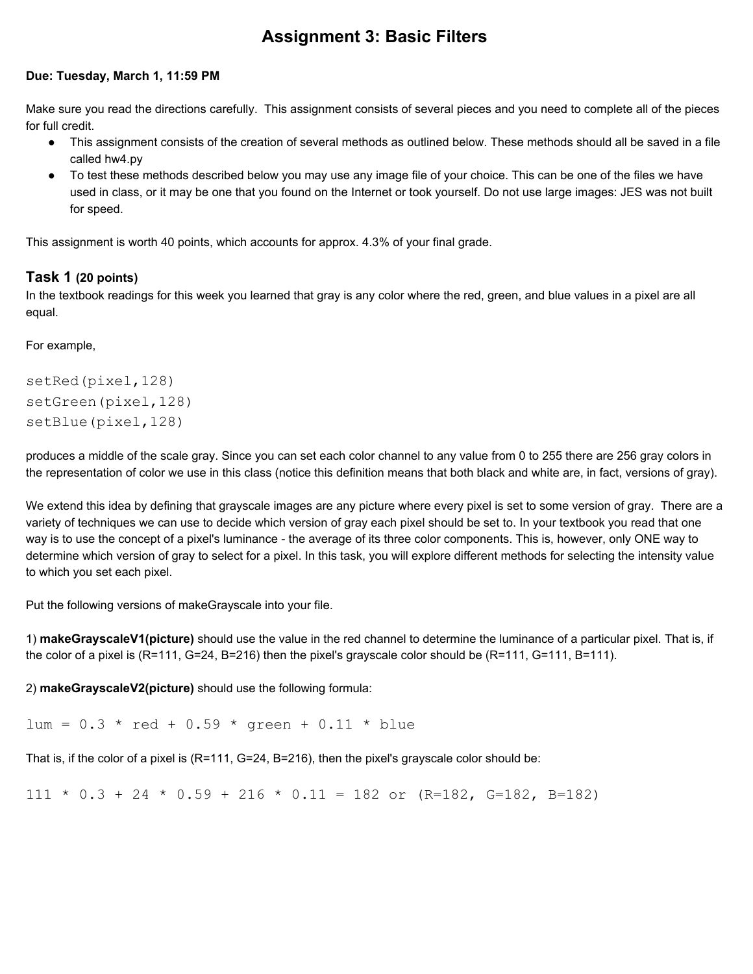# **Assignment 3: Basic Filters**

#### **Due: Tuesday, March 1, 11:59 PM**

Make sure you read the directions carefully. This assignment consists of several pieces and you need to complete all of the pieces for full credit.

- This assignment consists of the creation of several methods as outlined below. These methods should all be saved in a file called hw4.py
- To test these methods described below you may use any image file of your choice. This can be one of the files we have used in class, or it may be one that you found on the Internet or took yourself. Do not use large images: JES was not built for speed.

This assignment is worth 40 points, which accounts for approx. 4.3% of your final grade.

### **Task 1 (20 points)**

In the textbook readings for this week you learned that gray is any color where the red, green, and blue values in a pixel are all equal.

For example,

```
setRed(pixel,128)
setGreen(pixel,128)
setBlue(pixel,128)
```
produces a middle of the scale gray. Since you can set each color channel to any value from 0 to 255 there are 256 gray colors in the representation of color we use in this class (notice this definition means that both black and white are, in fact, versions of gray).

We extend this idea by defining that grayscale images are any picture where every pixel is set to some version of gray. There are a variety of techniques we can use to decide which version of gray each pixel should be set to. In your textbook you read that one way is to use the concept of a pixel's luminance - the average of its three color components. This is, however, only ONE way to determine which version of gray to select for a pixel. In this task, you will explore different methods for selecting the intensity value to which you set each pixel.

Put the following versions of makeGrayscale into your file.

1) **makeGrayscaleV1(picture)**should use the value in the red channel to determine the luminance of a particular pixel. That is, if the color of a pixel is (R=111, G=24, B=216) then the pixel's grayscale color should be (R=111, G=111, B=111).

2) **makeGrayscaleV2(picture)** should use the following formula:

 $lum = 0.3 * red + 0.59 * green + 0.11 * blue$ 

That is, if the color of a pixel is (R=111, G=24, B=216), then the pixel's grayscale color should be:

 $111 \div 0.3 + 24 \div 0.59 + 216 \div 0.11 = 182$  or (R=182, G=182, B=182)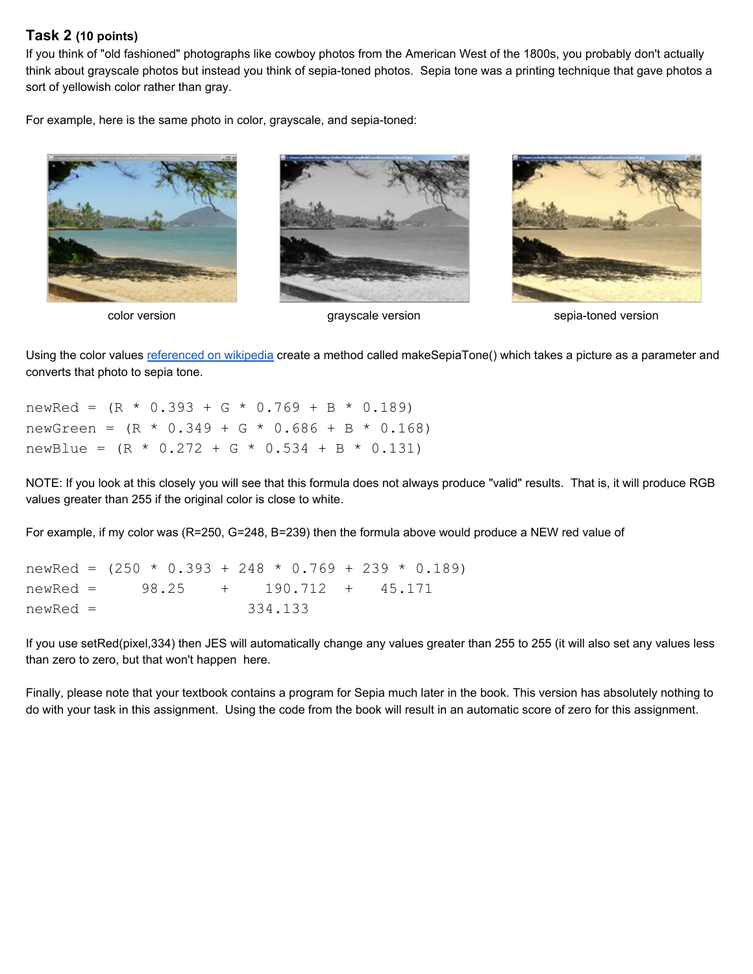#### **Task 2 (10 points)**

If you think of "old fashioned" photographs like cowboy photos from the American West of the 1800s, you probably don't actually think about grayscale photos but instead you think of sepia-toned photos. Sepia tone was a printing technique that gave photos a sort of yellowish color rather than gray.

For example, here is the same photo in color, grayscale, and sepia-toned:







color version grayscale version sepiatoned version

Using the color values [referenced](http://en.wikipedia.org/wiki/Sepia_tone) on wikipedia create a method called makeSepiaTone() which takes a picture as a parameter and converts that photo to sepia tone.

newRed =  $(R * 0.393 + G * 0.769 + B * 0.189)$ newGreen =  $(R * 0.349 + G * 0.686 + B * 0.168)$ newBlue =  $(R * 0.272 + G * 0.534 + B * 0.131)$ 

NOTE: If you look at this closely you will see that this formula does not always produce "valid" results. That is, it will produce RGB values greater than 255 if the original color is close to white.

For example, if my color was (R=250, G=248, B=239) then the formula above would produce a NEW red value of

| newRed = $(250 * 0.393 + 248 * 0.769 + 239 * 0.189)$ |  |  |         |  |  |  |
|------------------------------------------------------|--|--|---------|--|--|--|
| $newRed = 98.25 + 190.712 + 45.171$                  |  |  |         |  |  |  |
| $newRed =$                                           |  |  | 334.133 |  |  |  |

If you use setRed(pixel,334) then JES will automatically change any values greater than 255 to 255 (it will also set any values less than zero to zero, but that won't happen here.

Finally, please note that your textbook contains a program for Sepia much later in the book. This version has absolutely nothing to do with your task in this assignment. Using the code from the book will result in an automatic score of zero for this assignment.